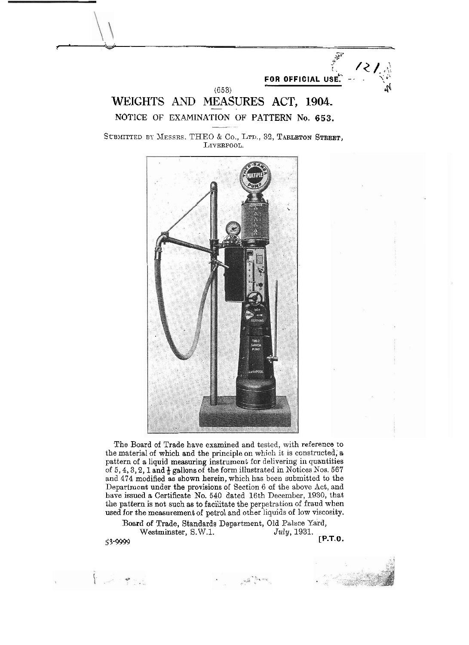$(653)$   $(653)$ WEIGHTS AND MEASURES ACT, 1904. **NOTICE OF EXAMINATION OF PATTERN No. 653.** 

FOR OFFICIAL USE.

SUBMITTED BY MESSRS. THEO & Co., LTD., 32, TARLETON STREET, LIVERPOOL.



The Board of Trade have examined and tested, with reference to the material of which and the principle on which it is constructed; a pattern of a liquid measuring instrument for delivering in quantities of 5, 4, 3, 2, 1 and  $\frac{1}{2}$  gallons of the form illustrated in Notices Nos. 567 and 474 modified as shown herein, which has been submitted to the Department under the provisions of Section 6 of the above Act, and have issued a Certificate No. 540 dated 16th December, 1930, that the pattern is not such as to facilitate the perpetration of fraud when used for the measurement of petrol and other liquids of low viscosity.

Board of Trade, Standards Department, Old Palace Yard, Westminster, S.W.1. **[P.T.O.** 53-9999

 $\label{eq:Riccati} \mathcal{P}^{\text{in}} \overset{\text{def}}{=} \mathcal{P}^{\text{in}} \overset{\text{def}}{=} \mathcal{P}^{\text{in}} \overset{\text{def}}{=} \mathcal{P}^{\text{in}} \overset{\text{def}}{=} \mathcal{P}^{\text{in}} \overset{\text{def}}{=} \mathcal{P}^{\text{in}} \overset{\text{def}}{=} \mathcal{P}^{\text{in}} \overset{\text{def}}{=} \mathcal{P}^{\text{in}} \overset{\text{def}}{=} \mathcal{P}^{\text{in}} \overset{\text{def}}{=} \mathcal{P}^{\text{in}}$ 

 $\label{eq:2.1} \begin{array}{llll} \mathcal{L}_{\mathcal{A}}(\mathcal{A}) & \mathcal{A} & \mathcal{B} & \mathcal{B} & \mathcal{B} \\ \mathcal{B} & \mathcal{B} & \mathcal{B} & \mathcal{B} & \mathcal{B} \\ \mathcal{B} & \mathcal{B} & \mathcal{B} & \mathcal{B} & \mathcal{B} \\ \mathcal{B} & \mathcal{B} & \mathcal{B} & \mathcal{B} & \mathcal{B} \\ \mathcal{B} & \mathcal{B} & \mathcal{B} & \mathcal{B} & \mathcal{B} \\ \mathcal{B} & \mathcal{B} & \math$ 



**FOR OFFICIAL USE:**<br> **FOR OFFICIAL USE:**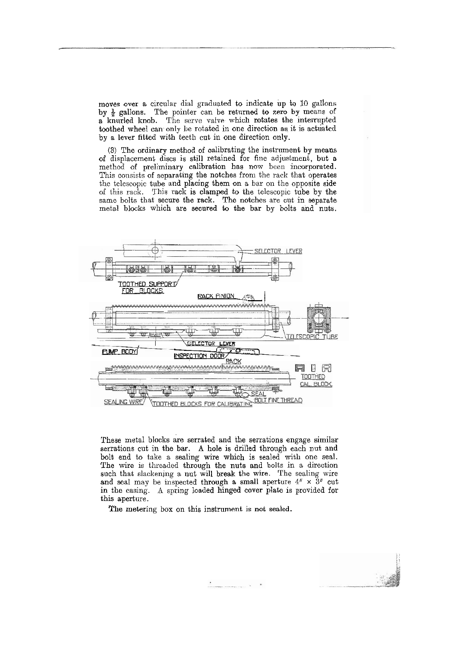moves over a circular dial gradnated to indicate up to 10 gallons by  $\frac{1}{2}$  gallons. The pointer can be returned to zero by means of a knurled knob. The serve valve which rotates the interrupted toothed wheel can only be rotated in one direction as it is actuated by a lever fitted with teeth cut in one direction only.

(3) The ordinary method of calibrating the instrument by means of displacement discs is still retained for fine adjustment, but a metho'd of preliminary calibration has now been incorpornted. This consists of separating the notches from the rack that operates the telescopic tube and placing them on a bar on the opposite side of this rack. This rack is clamped to the telescopic tube by the same bolts that secure the rack. The notches are cut in separate metal blocks which are secured to the bar by bolts and nuts.



These metal blocks are serrated and the serrations engage similar serrations cut in the bar. **A** hole is drilled through each nut and bolt end to take a sealing wire which is sealed with one seal. The wire is threaded through the nuts and bolts in a direction such that slackening a nut will break the wire. The sealing wire and seal may be inspected through a small aperture  $4'' \times 8''$  cut in the casing. A spring loaded hinged cover plate is provided for this aperture.

The metering box on this instrument is not sealed.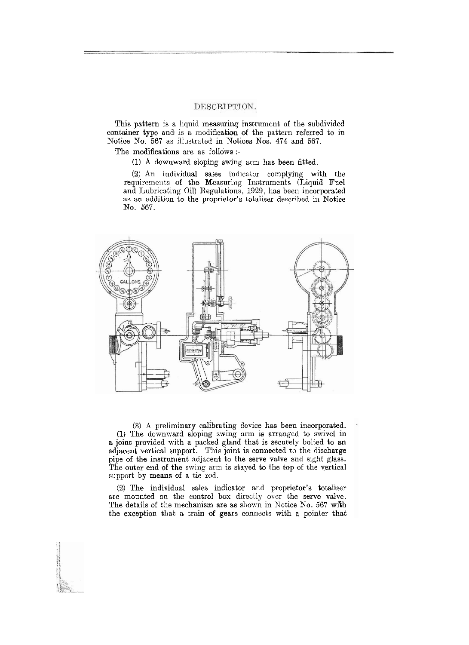## DESCRIPTION.

This pattern is a liquid measuring instrument of the subdivided container type and: is a modification of the pattern referred to in Notice Xo. **567** as illustrated in Notices Nos. **474** and **567.** 

The modifications are as follows :-

(1) **A** downward sloping swing. arm has been fitted.

**(2)** An individual sales indicator complying with the requirements of the Measuring Instruments (Liquid Fuel and Lubricating Oil) Regulations, 1929, has been incorporated as an addition to the proprietor's totaliser described in Notice No. **567.** 



**(3)** A preliminary calibrating device has been incorporated. (1) The downward sloping swing arm is arranged to swivel in **s.** joint provided with a packed gland that is securely bolted to an adjacent vertical support. This joint is connected to the discharge pipe of the instrument adjacent to the serve valve and sight glass. The outer end of the swing arm is stayed to the top of the vertical support by means of a tie rod.

(2) The individual sales indicator and proprietor's totaliser are mounted on the control box directly over the serve valve. The details of the mechanism are as shown in Notice No. 567 with the exception that a train of gears connects with a pointer that